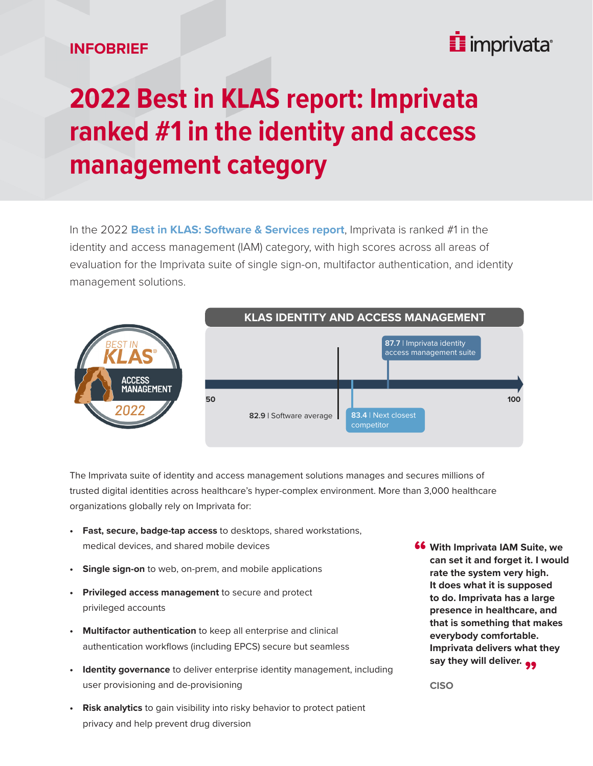## **INFOBRIEF**

## i imprivata<sup>®</sup>

## **2022 Best in KLAS report: Imprivata ranked #1 in the identity and access management category**

In the 2022 **[Best in KLAS: Software & Services report](https://klasresearch.com/report/2022-best-in-klas-awards-software-and-professional-services/2770)**, Imprivata is ranked #1 in the identity and access management (IAM) category, with high scores across all areas of evaluation for the Imprivata suite of single sign-on, multifactor authentication, and identity management solutions.



The Imprivata suite of identity and access management solutions manages and secures millions of trusted digital identities across healthcare's hyper-complex environment. More than 3,000 healthcare organizations globally rely on Imprivata for:

- **• Fast, secure, badge-tap access** to desktops, shared workstations, medical devices, and shared mobile devices
- **• Single sign-on** to web, on-prem, and mobile applications
- **• Privileged access management** to secure and protect privileged accounts
- **• Multifactor authentication** to keep all enterprise and clinical authentication workflows (including EPCS) secure but seamless
- **• Identity governance** to deliver enterprise identity management, including user provisioning and de-provisioning
- **• Risk analytics** to gain visibility into risky behavior to protect patient privacy and help prevent drug diversion

**66** With Imprivata IAM Suite, we can set it and forget it. I would **can set it and forget it. I would rate the system very high. It does what it is supposed to do. Imprivata has a large presence in healthcare, and that is something that makes everybody comfortable. Imprivata delivers what they**  say they will deliver. <sub>99</sub><br>CISO

**CISO**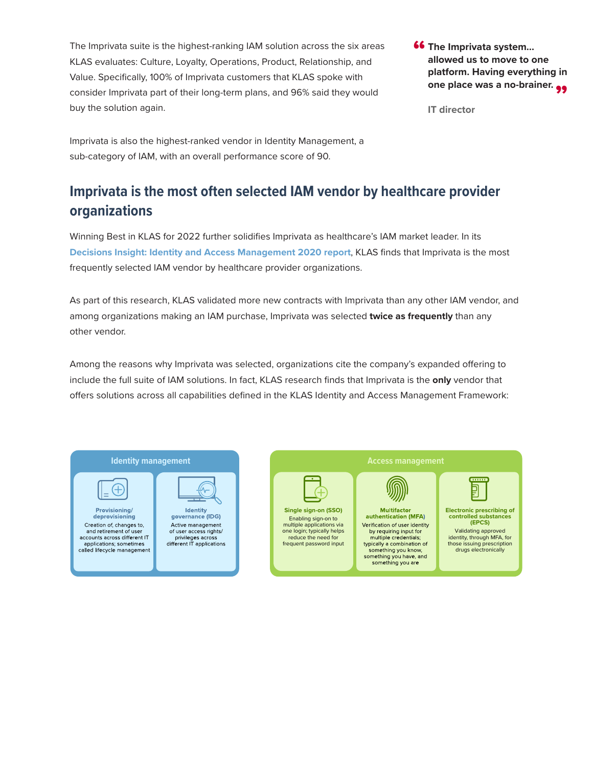The Imprivata suite is the highest-ranking IAM solution across the six areas KLAS evaluates: Culture, Loyalty, Operations, Product, Relationship, and Value. Specifically, 100% of Imprivata customers that KLAS spoke with consider Imprivata part of their long-term plans, and 96% said they would buy the solution again.

**66** The Imprivata system...<br>allowed us to move to o **allowed us to move to one platform. Having everything in**  one place was a no-brainer. <sub>99</sub><br>'T directer

**IT director**

Imprivata is also the highest-ranked vendor in Identity Management, a sub-category of IAM, with an overall performance score of 90.

## **Imprivata is the most often selected IAM vendor by healthcare provider organizations**

Winning Best in KLAS for 2022 further solidifies Imprivata as healthcare's IAM market leader. In its **[Decisions Insight: Identity and Access Management 2020 report](https://klasresearch.com/report/identity-and-access-management-2020-healthcare-looks-well-beyond-sso-a-decision-insights-report/1449)**, KLAS finds that Imprivata is the most frequently selected IAM vendor by healthcare provider organizations.

As part of this research, KLAS validated more new contracts with Imprivata than any other IAM vendor, and among organizations making an IAM purchase, Imprivata was selected **twice as frequently** than any other vendor.

Among the reasons why Imprivata was selected, organizations cite the company's expanded offering to include the full suite of IAM solutions. In fact, KLAS research finds that Imprivata is the **only** vendor that offers solutions across all capabilities defined in the KLAS Identity and Access Management Framework: